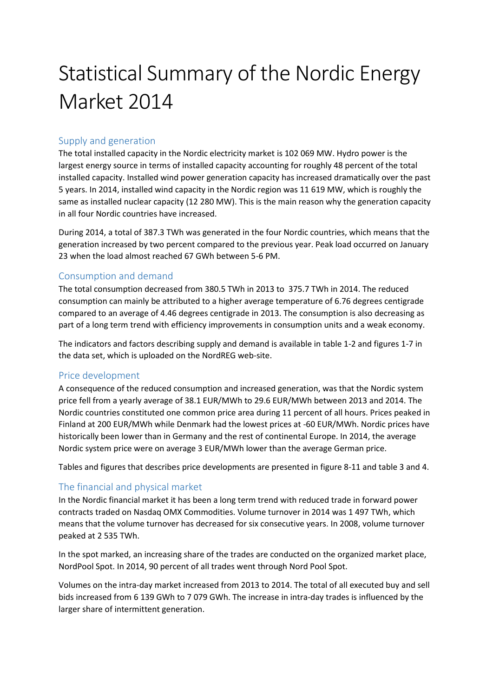# Statistical Summary of the Nordic Energy Market 2014

## Supply and generation

The total installed capacity in the Nordic electricity market is 102 069 MW. Hydro power is the largest energy source in terms of installed capacity accounting for roughly 48 percent of the total installed capacity. Installed wind power generation capacity has increased dramatically over the past 5 years. In 2014, installed wind capacity in the Nordic region was 11 619 MW, which is roughly the same as installed nuclear capacity (12 280 MW). This is the main reason why the generation capacity in all four Nordic countries have increased.

During 2014, a total of 387.3 TWh was generated in the four Nordic countries, which means that the generation increased by two percent compared to the previous year. Peak load occurred on January 23 when the load almost reached 67 GWh between 5-6 PM.

## Consumption and demand

The total consumption decreased from 380.5 TWh in 2013 to 375.7 TWh in 2014. The reduced consumption can mainly be attributed to a higher average temperature of 6.76 degrees centigrade compared to an average of 4.46 degrees centigrade in 2013. The consumption is also decreasing as part of a long term trend with efficiency improvements in consumption units and a weak economy.

The indicators and factors describing supply and demand is available in table 1-2 and figures 1-7 in the data set, which is uploaded on the NordREG web-site.

### Price development

A consequence of the reduced consumption and increased generation, was that the Nordic system price fell from a yearly average of 38.1 EUR/MWh to 29.6 EUR/MWh between 2013 and 2014. The Nordic countries constituted one common price area during 11 percent of all hours. Prices peaked in Finland at 200 EUR/MWh while Denmark had the lowest prices at -60 EUR/MWh. Nordic prices have historically been lower than in Germany and the rest of continental Europe. In 2014, the average Nordic system price were on average 3 EUR/MWh lower than the average German price.

Tables and figures that describes price developments are presented in figure 8-11 and table 3 and 4.

## The financial and physical market

In the Nordic financial market it has been a long term trend with reduced trade in forward power contracts traded on Nasdaq OMX Commodities. Volume turnover in 2014 was 1 497 TWh, which means that the volume turnover has decreased for six consecutive years. In 2008, volume turnover peaked at 2 535 TWh.

In the spot marked, an increasing share of the trades are conducted on the organized market place, NordPool Spot. In 2014, 90 percent of all trades went through Nord Pool Spot.

Volumes on the intra-day market increased from 2013 to 2014. The total of all executed buy and sell bids increased from 6 139 GWh to 7 079 GWh. The increase in intra-day trades is influenced by the larger share of intermittent generation.